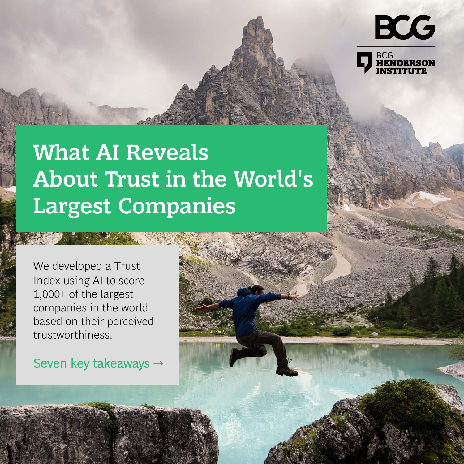

Copyright Copyright Copyright Consulting Consulting Consulting Group. All rights reserved. All rights reserved.

#### **What AI Reveals About Trust in the World's Largest Companies**

We developed a Trust Index using AI to score 1,000+ of the largest companies in the world based on their perceived trustworthiness.

Seven key takeaways →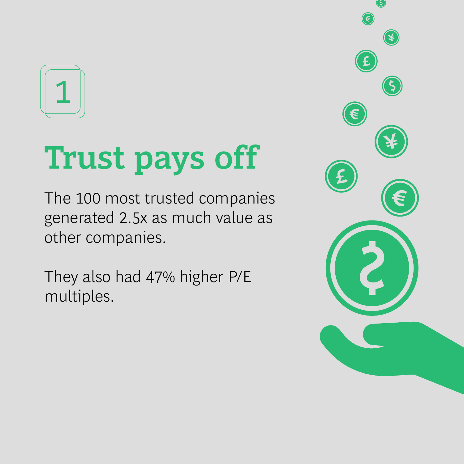

# **Trust pays off**

The 100 most trusted companies generated 2.5x as much value as other companies.

They also had 47% higher P/E multiples.

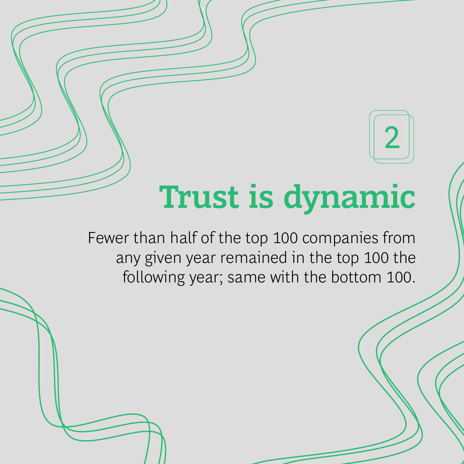## **Trust is dynamic**

2

Copyright © 2021 by Boston Consulting Group. All rights reserved.

Fewer than half of the top 100 companies from any given year remained in the top 100 the following year; same with the bottom 100.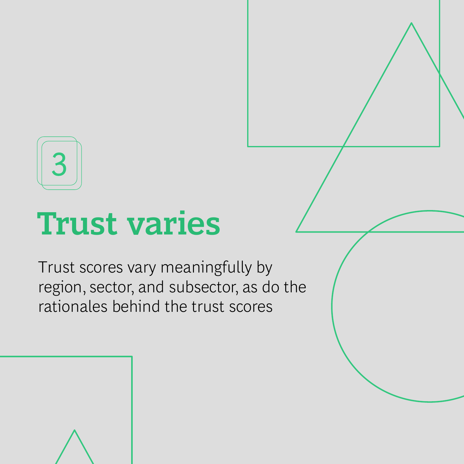3

## **Trust varies**

Trust scores vary meaningfully by region, sector, and subsector, as do the rationales behind the trust scores

Copyright © 2021 by Boston Consulting Group. All rights reserved.

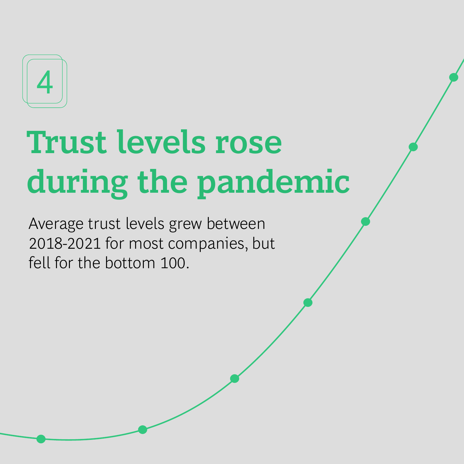

## **Trust levels rose during the pandemic**

Average trust levels grew between 2018-2021 for most companies, but fell for the bottom 100.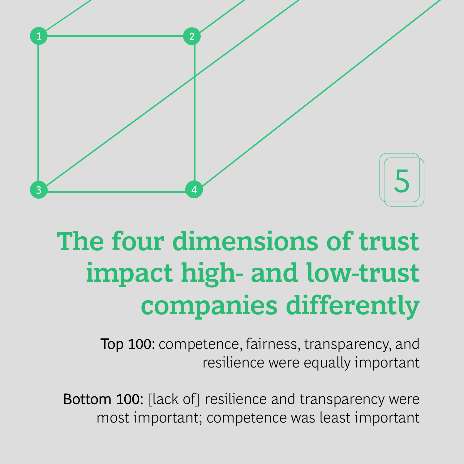

#### **The four dimensions of trust impact high- and low-trust companies differently**

Top 100: competence, fairness, transparency, and resilience were equally important

Bottom 100: [lack of] resilience and transparency were most important; competence was least important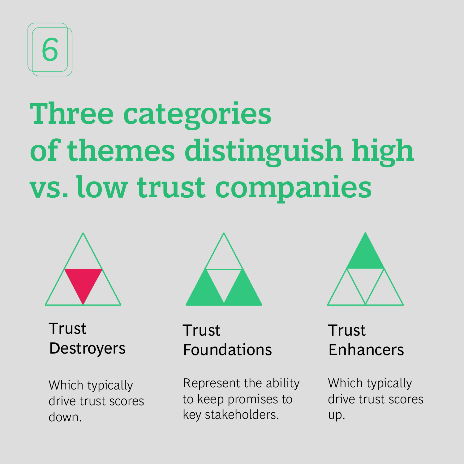

## **Three categories of themes distinguish high vs. low trust companies**



**Trust Destroyers** 

Which typically drive trust scores down.



Trust Foundations

Represent the ability to keep promises to key stakeholders.



#### **Trust** Enhancers

Which typically drive trust scores up.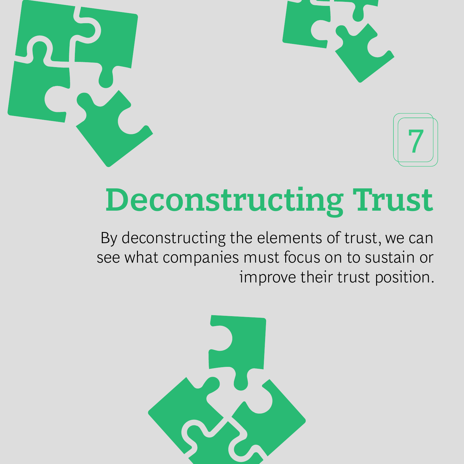



## **Deconstructing Trust**

By deconstructing the elements of trust, we can see what companies must focus on to sustain or improve their trust position.